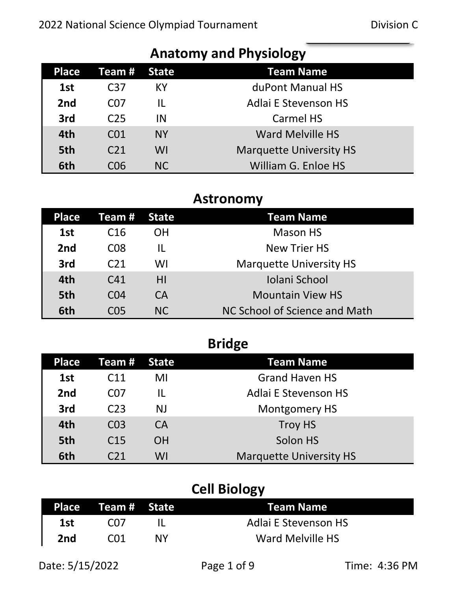| <b>Aliatully ally Filysiulugy</b> |                 |              |                                |  |
|-----------------------------------|-----------------|--------------|--------------------------------|--|
| <b>Place</b>                      | Team #          | <b>State</b> | <b>Team Name</b>               |  |
| 1st                               | C <sub>37</sub> | КY           | duPont Manual HS               |  |
| 2 <sub>nd</sub>                   | C <sub>07</sub> | IL           | <b>Adlai E Stevenson HS</b>    |  |
| 3rd                               | C <sub>25</sub> | IN           | <b>Carmel HS</b>               |  |
| 4th                               | CO <sub>1</sub> | <b>NY</b>    | <b>Ward Melville HS</b>        |  |
| 5th                               | C <sub>21</sub> | WI           | <b>Marquette University HS</b> |  |
| 6th                               | C06             | NC           | William G. Enloe HS            |  |

#### **Anatomy and Physiology**

#### **Astronomy**

| <b>Place</b>    | Team #          | State     | <b>Team Name</b>               |
|-----------------|-----------------|-----------|--------------------------------|
| 1st             | C <sub>16</sub> | OΗ        | <b>Mason HS</b>                |
| 2 <sub>nd</sub> | C <sub>08</sub> | IL        | <b>New Trier HS</b>            |
| 3rd             | C <sub>21</sub> | WI        | <b>Marquette University HS</b> |
| 4th             | C <sub>41</sub> | ΗI        | Iolani School                  |
| 5th             | CO <sub>4</sub> | <b>CA</b> | <b>Mountain View HS</b>        |
| 6th             | C <sub>05</sub> | <b>NC</b> | NC School of Science and Math  |

|                 |                 |           | <b>Bridge</b>                  |
|-----------------|-----------------|-----------|--------------------------------|
| <b>Place</b>    | Team #          | State     | <b>Team Name</b>               |
| 1st             | C <sub>11</sub> | MI        | <b>Grand Haven HS</b>          |
| 2 <sub>nd</sub> | C <sub>07</sub> | IL        | <b>Adlai E Stevenson HS</b>    |
| 3rd             | C <sub>23</sub> | <b>NJ</b> | <b>Montgomery HS</b>           |
| 4th             | CO <sub>3</sub> | <b>CA</b> | <b>Troy HS</b>                 |
| 5th             | C <sub>15</sub> | <b>OH</b> | Solon HS                       |
| 6th             | <b>C21</b>      | WI        | <b>Marquette University HS</b> |

# **Cell Biology**

|     | Place Team# State |    | <b>Team Name</b>            |
|-----|-------------------|----|-----------------------------|
| 1st | CO 7              |    | <b>Adlai E Stevenson HS</b> |
| 2nd | CN 1              | ΝY | Ward Melville HS            |

Date: 5/15/2022 Page 1 of 9 Time: 4:36 PM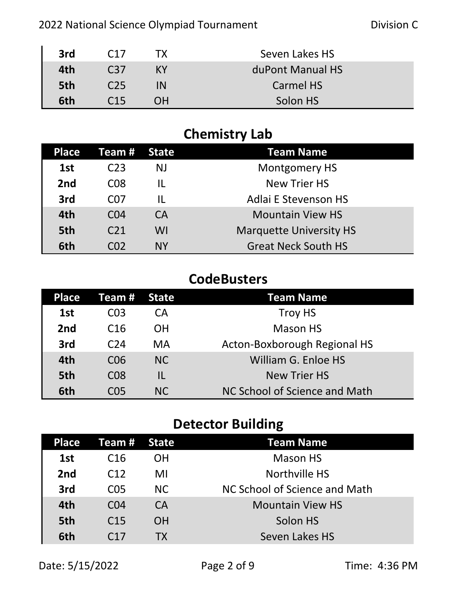| 3rd | C <sub>17</sub> | ТX        | Seven Lakes HS   |
|-----|-----------------|-----------|------------------|
| 4th | C37             | <b>KY</b> | duPont Manual HS |
| 5th | C <sub>25</sub> | IN        | Carmel HS        |
| 6th | C15             | <b>OH</b> | Solon HS         |

# **Chemistry Lab**

| <b>Place</b>    | Team #          | State        | <b>Team Name</b>               |
|-----------------|-----------------|--------------|--------------------------------|
| 1st             | C <sub>23</sub> | <b>NJ</b>    | <b>Montgomery HS</b>           |
| 2 <sub>nd</sub> | C <sub>08</sub> | IL           | <b>New Trier HS</b>            |
| 3rd             | C <sub>07</sub> | $\mathbf{H}$ | <b>Adlai E Stevenson HS</b>    |
| 4th             | CO <sub>4</sub> | <b>CA</b>    | <b>Mountain View HS</b>        |
| 5th             | C <sub>21</sub> | WI           | <b>Marquette University HS</b> |
| 6th             | C <sub>02</sub> | <b>NY</b>    | <b>Great Neck South HS</b>     |

### **CodeBusters**

| Place           | Team #          | <b>State</b> | Team Name                     |
|-----------------|-----------------|--------------|-------------------------------|
| 1st             | CO <sub>3</sub> | CА           | Troy HS                       |
| 2 <sub>nd</sub> | C <sub>16</sub> | <b>OH</b>    | <b>Mason HS</b>               |
| 3rd             | C <sub>24</sub> | MA           | Acton-Boxborough Regional HS  |
| 4th             | C <sub>06</sub> | <b>NC</b>    | William G. Enloe HS           |
| 5th             | C <sub>08</sub> | IL           | <b>New Trier HS</b>           |
| 6th             | CO <sub>5</sub> | NC.          | NC School of Science and Math |

# **Detector Building**

| <b>Place</b>    | Team # State    |           | <b>Team Name</b>              |
|-----------------|-----------------|-----------|-------------------------------|
| 1st             | C <sub>16</sub> | <b>OH</b> | <b>Mason HS</b>               |
| 2 <sub>nd</sub> | C <sub>12</sub> | MI        | Northville HS                 |
| 3rd             | C <sub>05</sub> | NC.       | NC School of Science and Math |
| 4th             | CO <sub>4</sub> | <b>CA</b> | <b>Mountain View HS</b>       |
| 5th             | C <sub>15</sub> | <b>OH</b> | Solon HS                      |
| 6th             | C17             | ТX        | Seven Lakes HS                |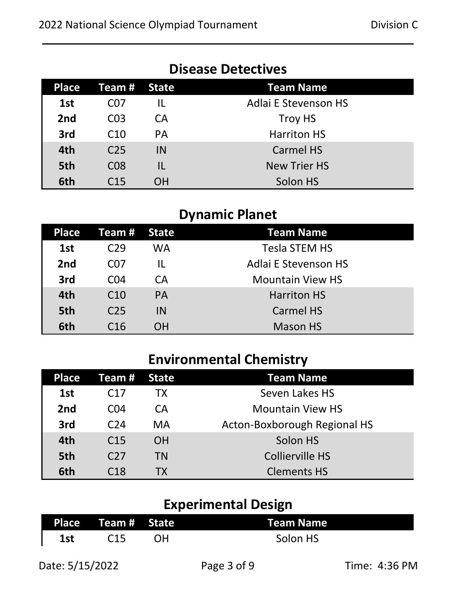| <b>Place</b> | <b>Team # State</b> |           | <b>Team Name</b>            |
|--------------|---------------------|-----------|-----------------------------|
| 1st          | CO7                 |           | <b>Adlai E Stevenson HS</b> |
| 2nd          | CO <sub>3</sub>     | СA        | <b>Troy HS</b>              |
| 3rd          | C <sub>10</sub>     | <b>PA</b> | <b>Harriton HS</b>          |
| 4th          | C <sub>25</sub>     | IN        | <b>Carmel HS</b>            |
| 5th          | <b>CO8</b>          | IL        | <b>New Trier HS</b>         |
| 6th          | C <sub>15</sub>     | ΟH        | Solon HS                    |

# **Disease Detectives**

## **Dynamic Planet**

| Place | Team #          | <b>State</b> | <b>Team Name</b>            |
|-------|-----------------|--------------|-----------------------------|
| 1st   | C <sub>29</sub> | WA           | <b>Tesla STEM HS</b>        |
| 2nd   | C <sub>07</sub> | IL           | <b>Adlai E Stevenson HS</b> |
| 3rd   | CO <sub>4</sub> | CA           | <b>Mountain View HS</b>     |
| 4th   | C <sub>10</sub> | <b>PA</b>    | <b>Harriton HS</b>          |
| 5th   | C <sub>25</sub> | IN           | <b>Carmel HS</b>            |
| 6th   | C16             | ΟH           | <b>Mason HS</b>             |

# **Environmental Chemistry**

| <b>Place</b>    | <b>Team # State</b> |           | <b>Team Name</b>             |
|-----------------|---------------------|-----------|------------------------------|
| 1st             | C <sub>17</sub>     | ТX        | Seven Lakes HS               |
| 2 <sub>nd</sub> | CO <sub>4</sub>     | СA        | <b>Mountain View HS</b>      |
| 3rd             | C <sub>24</sub>     | MA        | Acton-Boxborough Regional HS |
| 4th             | C <sub>15</sub>     | <b>OH</b> | Solon HS                     |
| 5th             | C <sub>27</sub>     | TN        | <b>Collierville HS</b>       |
| 6th             | C <sub>18</sub>     | TX.       | <b>Clements HS</b>           |

# **Experimental Design**

|     | Place Team # State |    | <b>Team Name</b> |
|-----|--------------------|----|------------------|
| 1st | C <sub>15</sub>    | ΩH | Solon HS         |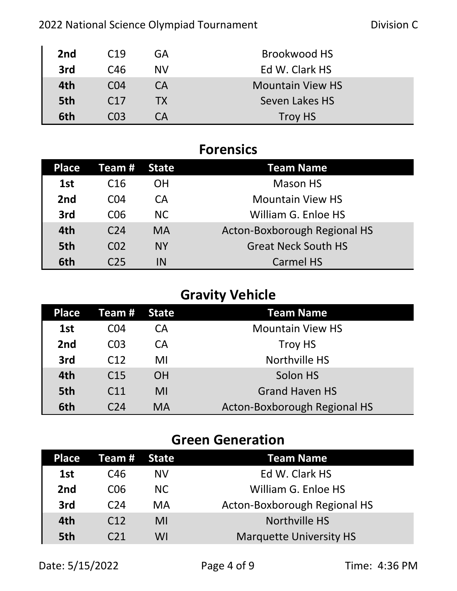#### 2022 National Science Olympiad Tournament **Division Communist Contract Contract** Division C

| 2nd | C <sub>19</sub> | GA        | Brookwood HS            |
|-----|-----------------|-----------|-------------------------|
| 3rd | C <sub>46</sub> | <b>NV</b> | Ed W. Clark HS          |
| 4th | CO <sub>4</sub> | CA        | <b>Mountain View HS</b> |
| 5th | C <sub>17</sub> | <b>TX</b> | Seven Lakes HS          |
| 6th | CO <sub>3</sub> | СA        | Troy HS                 |

| <b>Forensics</b> |                 |              |                              |  |  |
|------------------|-----------------|--------------|------------------------------|--|--|
| <b>Place</b>     | Team #          | <b>State</b> | <b>Team Name</b>             |  |  |
| 1st              | C <sub>16</sub> | <b>OH</b>    | <b>Mason HS</b>              |  |  |
| 2 <sub>nd</sub>  | CO <sub>4</sub> | <b>CA</b>    | <b>Mountain View HS</b>      |  |  |
| 3rd              | C <sub>06</sub> | <b>NC</b>    | William G. Enloe HS          |  |  |
| 4th              | C <sub>24</sub> | <b>MA</b>    | Acton-Boxborough Regional HS |  |  |
| 5th              | CO <sub>2</sub> | <b>NY</b>    | <b>Great Neck South HS</b>   |  |  |
| 6th              | C <sub>25</sub> | IN           | <b>Carmel HS</b>             |  |  |

# **Gravity Vehicle**

| <b>Place</b>    | Team $#$        | State     | <b>Team Name</b>             |
|-----------------|-----------------|-----------|------------------------------|
| 1st             | C04             | CА        | <b>Mountain View HS</b>      |
| 2 <sub>nd</sub> | CO <sub>3</sub> | CA        | <b>Troy HS</b>               |
| 3rd             | C <sub>12</sub> | MI        | Northville HS                |
| 4th             | C <sub>15</sub> | <b>OH</b> | Solon HS                     |
| 5th             | C <sub>11</sub> | MI        | <b>Grand Haven HS</b>        |
| 6th             | C <sub>24</sub> | <b>MA</b> | Acton-Boxborough Regional HS |

## **Green Generation**

| <b>Place</b>    | Team # State    |           | <b>Team Name</b>               |
|-----------------|-----------------|-----------|--------------------------------|
| 1st             | C <sub>46</sub> | <b>NV</b> | Ed W. Clark HS                 |
| 2 <sub>nd</sub> | C <sub>06</sub> | NC.       | William G. Enloe HS            |
| 3rd             | C <sub>24</sub> | MA        | Acton-Boxborough Regional HS   |
| 4th             | C12             | MI        | Northville HS                  |
| 5th             | C <sub>21</sub> | WI        | <b>Marquette University HS</b> |

Date: 5/15/2022 Page 4 of 9 Time: 4:36 PM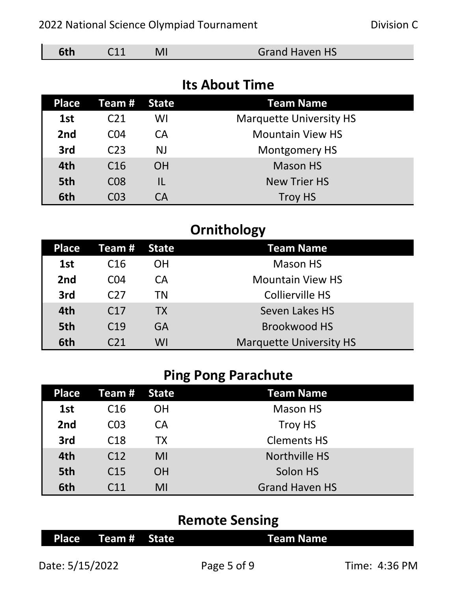| 5th | C <sub>08</sub> | <b>New Trier HS</b> |
|-----|-----------------|---------------------|
| 6th | C <sub>03</sub> | <b>Troy HS</b>      |
|     |                 |                     |

|  |  |  |  | <b>Ornithology</b> |
|--|--|--|--|--------------------|
|--|--|--|--|--------------------|

2022 National Science Olympiad Tournament Division C

**Its About Time**

**6th** C11 MI Grand Haven HS

**Place Team # State Team Name** 

1st C21 WI Marquette University HS

**2nd** CO4 CA Mountain View HS

**3rd** C23 NJ Montgomery HS

**4th** C16 OH Mason HS

| Place           | <b>Team # State</b> |           | <b>Team Name</b>               |
|-----------------|---------------------|-----------|--------------------------------|
| 1st             | C16                 | OΗ        | <b>Mason HS</b>                |
| 2 <sub>nd</sub> | CO <sub>4</sub>     | CА        | <b>Mountain View HS</b>        |
| 3rd             | C <sub>27</sub>     | ΤN        | Collierville HS                |
| 4th             | C <sub>17</sub>     | <b>TX</b> | Seven Lakes HS                 |
| 5th             | C <sub>19</sub>     | GA        | Brookwood HS                   |
| 6th             | C <sub>21</sub>     | WI        | <b>Marquette University HS</b> |

### **Ping Pong Parachute**

| <b>Place</b>    | Team #          | <b>State</b> | <b>Team Name</b>      |
|-----------------|-----------------|--------------|-----------------------|
| 1st             | C <sub>16</sub> | OΗ           | <b>Mason HS</b>       |
| 2 <sub>nd</sub> | CO <sub>3</sub> | <b>CA</b>    | Troy HS               |
| 3rd             | C <sub>18</sub> | TX           | <b>Clements HS</b>    |
| 4th             | C <sub>12</sub> | MI           | Northville HS         |
| 5th             | C <sub>15</sub> | <b>OH</b>    | Solon HS              |
| 6th             | C <sub>11</sub> | MI           | <b>Grand Haven HS</b> |

#### **Remote Sensing**

|                    | .                |
|--------------------|------------------|
| Place Team # State | <b>Team Name</b> |
|                    |                  |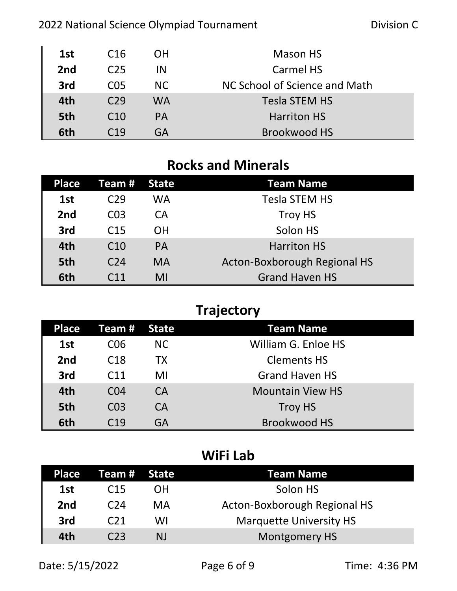#### 2022 National Science Olympiad Tournament **Division C**

| 1st | C <sub>16</sub> | OΗ        | Mason HS                      |
|-----|-----------------|-----------|-------------------------------|
| 2nd | C <sub>25</sub> | ΙN        | Carmel HS                     |
| 3rd | C <sub>05</sub> | NC.       | NC School of Science and Math |
| 4th | C <sub>29</sub> | <b>WA</b> | Tesla STEM HS                 |
| 5th | C <sub>10</sub> | <b>PA</b> | <b>Harriton HS</b>            |
| 6th | C <sub>19</sub> | GA        | Brookwood HS                  |

## **Rocks and Minerals**

| Place | Team #          | State     | <b>Team Name</b>             |
|-------|-----------------|-----------|------------------------------|
| 1st   | C29             | <b>WA</b> | <b>Tesla STEM HS</b>         |
| 2nd   | CO <sub>3</sub> | CA        | Troy HS                      |
| 3rd   | C <sub>15</sub> | <b>OH</b> | Solon HS                     |
| 4th   | C <sub>10</sub> | <b>PA</b> | <b>Harriton HS</b>           |
| 5th   | C <sub>24</sub> | <b>MA</b> | Acton-Boxborough Regional HS |
| 6th   | C <sub>11</sub> | MI        | <b>Grand Haven HS</b>        |

# **Trajectory**

| <b>Place</b>    | Team #          | State     | <b>Team Name</b>        |
|-----------------|-----------------|-----------|-------------------------|
| 1st             | C06             | NC.       | William G. Enloe HS     |
| 2 <sub>nd</sub> | C <sub>18</sub> | TX        | <b>Clements HS</b>      |
| 3rd             | C <sub>11</sub> | MI        | <b>Grand Haven HS</b>   |
| 4th             | CO <sub>4</sub> | CA        | <b>Mountain View HS</b> |
| 5th             | CO <sub>3</sub> | <b>CA</b> | <b>Troy HS</b>          |
| 6th             | C <sub>19</sub> | GA        | <b>Brookwood HS</b>     |

#### **WiFi Lab**

| <b>Place</b>    | Team # State    |    | Team Name                      |
|-----------------|-----------------|----|--------------------------------|
| 1st             | C <sub>15</sub> | OΗ | Solon HS                       |
| 2 <sub>nd</sub> | C <sub>24</sub> | MA | Acton-Boxborough Regional HS   |
| 3rd             | C <sub>21</sub> | WI | <b>Marquette University HS</b> |
| 4th             | C <sub>23</sub> | NJ | Montgomery HS                  |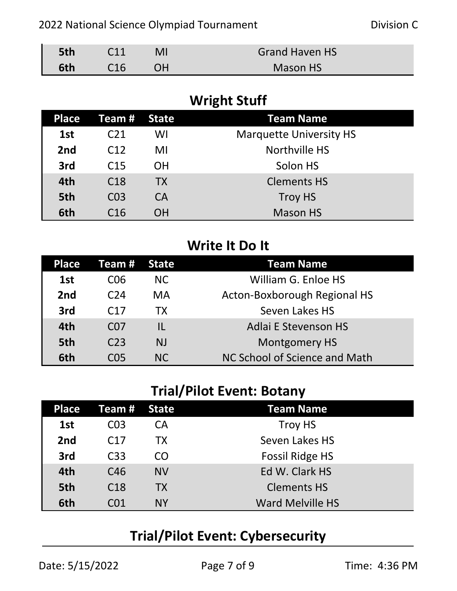| 5th | C <sub>11</sub> |           | <b>Grand Haven HS</b> |
|-----|-----------------|-----------|-----------------------|
| 6th | C16             | <b>OH</b> | <b>Mason HS</b>       |

# **Wright Stuff**

| Place | Team #          | State     | <b>Team Name</b>               |
|-------|-----------------|-----------|--------------------------------|
| 1st   | C <sub>21</sub> | WI        | <b>Marquette University HS</b> |
| 2nd   | C <sub>12</sub> | MI        | Northville HS                  |
| 3rd   | C <sub>15</sub> | ΟH        | Solon HS                       |
| 4th   | C <sub>18</sub> | <b>TX</b> | <b>Clements HS</b>             |
| 5th   | CO <sub>3</sub> | <b>CA</b> | <b>Troy HS</b>                 |
| 6th   | C <sub>16</sub> | ΟH        | <b>Mason HS</b>                |

# **Write It Do It**

| Place | Team #          | <b>State</b> | Team Name                     |
|-------|-----------------|--------------|-------------------------------|
| 1st   | C <sub>06</sub> | NC.          | William G. Enloe HS           |
| 2nd   | C <sub>24</sub> | <b>MA</b>    | Acton-Boxborough Regional HS  |
| 3rd   | C17             | <b>TX</b>    | Seven Lakes HS                |
| 4th   | C <sub>07</sub> | IL           | <b>Adlai E Stevenson HS</b>   |
| 5th   | C <sub>23</sub> | <b>NJ</b>    | <b>Montgomery HS</b>          |
| 6th   | C <sub>05</sub> | NC           | NC School of Science and Math |

#### **Trial/Pilot Event: Botany**

| <b>Place</b>    | Team #          | State <sup>'</sup> | <b>Team Name</b>        |
|-----------------|-----------------|--------------------|-------------------------|
| 1st             | CO <sub>3</sub> | CA                 | Troy HS                 |
| 2 <sub>nd</sub> | C17             | ТX                 | Seven Lakes HS          |
| 3rd             | C <sub>33</sub> | CO                 | <b>Fossil Ridge HS</b>  |
| 4th             | C46             | <b>NV</b>          | Ed W. Clark HS          |
| 5th             | C <sub>18</sub> | <b>TX</b>          | <b>Clements HS</b>      |
| 6th             | CN 1            | <b>NY</b>          | <b>Ward Melville HS</b> |

# **Trial/Pilot Event: Cybersecurity**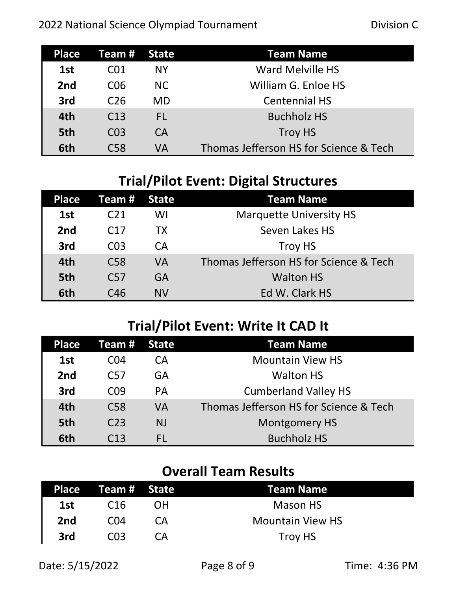| <b>Place</b>    | Team #          | State | Team Name                              |
|-----------------|-----------------|-------|----------------------------------------|
| 1st             | C01             | NΥ    | <b>Ward Melville HS</b>                |
| 2 <sub>nd</sub> | C <sub>06</sub> | NC.   | William G. Enloe HS                    |
| 3rd             | C <sub>26</sub> | MD    | <b>Centennial HS</b>                   |
| 4th             | C <sub>13</sub> | FL.   | <b>Buchholz HS</b>                     |
| 5th             | CO <sub>3</sub> | CA    | <b>Troy HS</b>                         |
| 6th             | C <sub>58</sub> | VA    | Thomas Jefferson HS for Science & Tech |

# **Trial/Pilot Event: Digital Structures**

| <b>Place</b>    | Team #          | State     | <b>Team Name</b>                       |
|-----------------|-----------------|-----------|----------------------------------------|
| 1st             | C21             | WI        | <b>Marquette University HS</b>         |
| 2 <sub>nd</sub> | C <sub>17</sub> | <b>TX</b> | Seven Lakes HS                         |
| 3rd             | CO <sub>3</sub> | CA        | Troy HS                                |
| 4th             | C <sub>58</sub> | VA        | Thomas Jefferson HS for Science & Tech |
| 5th             | C <sub>57</sub> | GA        | <b>Walton HS</b>                       |
| 6th             | C46             | NV        | Ed W. Clark HS                         |

# **Trial/Pilot Event: Write It CAD It**

| Place | Team #          | <b>State</b> | <b>Team Name</b>                       |
|-------|-----------------|--------------|----------------------------------------|
| 1st   | C <sub>04</sub> | СA           | <b>Mountain View HS</b>                |
| 2nd   | C <sub>57</sub> | GA           | <b>Walton HS</b>                       |
| 3rd   | C <sub>09</sub> | <b>PA</b>    | <b>Cumberland Valley HS</b>            |
| 4th   | C <sub>58</sub> | VA           | Thomas Jefferson HS for Science & Tech |
| 5th   | C <sub>23</sub> | <b>NJ</b>    | <b>Montgomery HS</b>                   |
| 6th   | C <sub>13</sub> | FL           | <b>Buchholz HS</b>                     |

# **Overall Team Results**

|     | Place Team# State |    | Team Name               |
|-----|-------------------|----|-------------------------|
| 1st | C <sub>16</sub>   | OΗ | <b>Mason HS</b>         |
| 2nd | C <sub>04</sub>   | CА | <b>Mountain View HS</b> |
| 3rd | CO <sub>3</sub>   | CА | Troy HS                 |